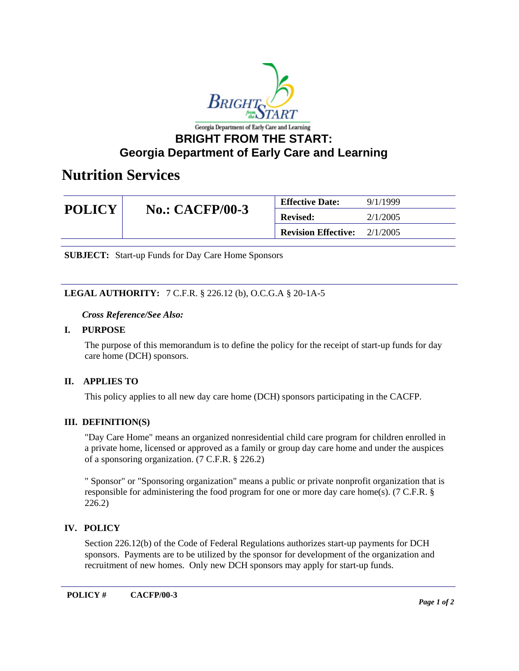

# **BRIGHT FROM THE START: Georgia Department of Early Care and Learning**

# **Nutrition Services**

| <b>POLICY</b> | <b>No.: CACFP/00-3</b> | <b>Effective Date:</b>     | 9/1/1999 |
|---------------|------------------------|----------------------------|----------|
|               |                        | <b>Revised:</b>            | 2/1/2005 |
|               |                        | <b>Revision Effective:</b> | 2/1/2005 |

**SUBJECT:** Start-up Funds for Day Care Home Sponsors

# **LEGAL AUTHORITY:** 7 C.F.R. § 226.12 (b), O.C.G.A § 20-1A-5

#### *Cross Reference/See Also:*

#### **I. PURPOSE**

The purpose of this memorandum is to define the policy for the receipt of start-up funds for day care home (DCH) sponsors.

## **II. APPLIES TO**

This policy applies to all new day care home (DCH) sponsors participating in the CACFP.

## **III. DEFINITION(S)**

"Day Care Home" means an organized nonresidential child care program for children enrolled in a private home, licensed or approved as a family or group day care home and under the auspices of a sponsoring organization. (7 C.F.R. § 226.2)

" Sponsor" or "Sponsoring organization" means a public or private nonprofit organization that is responsible for administering the food program for one or more day care home(s). (7 C.F.R. § 226.2)

## **IV. POLICY**

Section 226.12(b) of the Code of Federal Regulations authorizes start-up payments for DCH sponsors. Payments are to be utilized by the sponsor for development of the organization and recruitment of new homes. Only new DCH sponsors may apply for start-up funds.